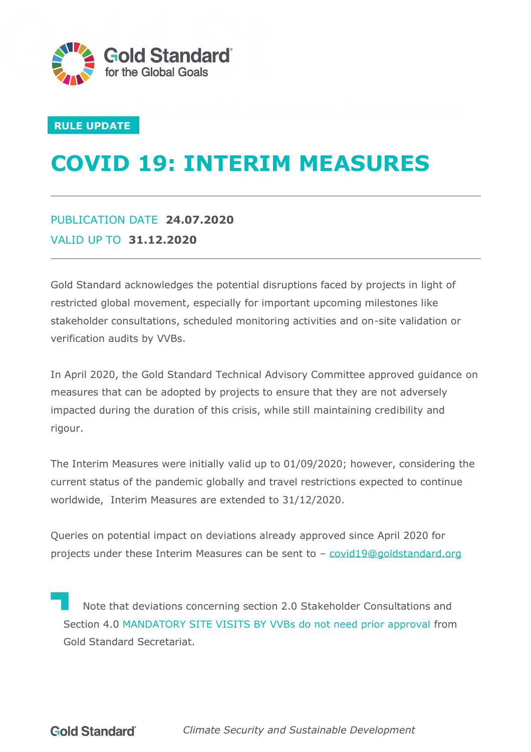

#### **RULE UPDATE**

# **COVID 19: INTERIM MEASURES**

### PUBLICATION DATE **24.07.2020** VALID UP TO **31.12.2020**

Gold Standard acknowledges the potential disruptions faced by projects in light of restricted global movement, especially for important upcoming milestones like stakeholder consultations, scheduled monitoring activities and on-site validation or verification audits by VVBs.

In April 2020, the Gold Standard Technical Advisory Committee approved guidance on measures that can be adopted by projects to ensure that they are not adversely impacted during the duration of this crisis, while still maintaining credibility and rigour.

The Interim Measures were initially valid up to 01/09/2020; however, considering the current status of the pandemic globally and travel restrictions expected to continue worldwide, Interim Measures are extended to 31/12/2020.

Queries on potential impact on deviations already approved since April 2020 for projects under these Interim Measures can be sent to – [covid19@goldstandard.org](mailto:covid19@goldstandard.org)

Note that deviations concerning section 2.0 Stakeholder Consultations and Section 4.0 MANDATORY SITE VISITS BY VVBs do not need prior approval from Gold Standard Secretariat.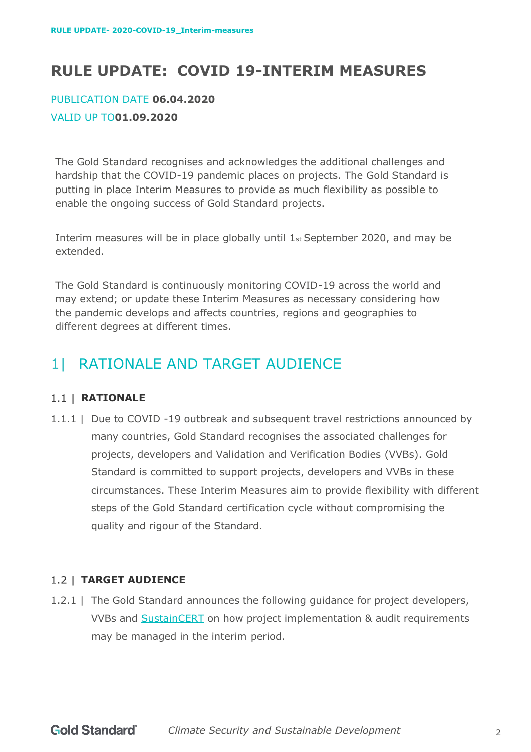# **RULE UPDATE: COVID 19-INTERIM MEASURES**

# PUBLICATION DATE **06.04.2020**

#### VALID UP TO**01.09.2020**

The Gold Standard recognises and acknowledges the additional challenges and hardship that the COVID-19 pandemic places on projects. The Gold Standard is putting in place Interim Measures to provide as much flexibility as possible to enable the ongoing success of Gold Standard projects.

Interim measures will be in place globally until 1st September 2020, and may be extended.

The Gold Standard is continuously monitoring COVID-19 across the world and may extend; or update these Interim Measures as necessary considering how the pandemic develops and affects countries, regions and geographies to different degrees at different times.

# 1| RATIONALE AND TARGET AUDIENCE

#### 1.1 | **RATIONALE**

1.1.1 | Due to COVID -19 outbreak and subsequent travel restrictions announced by many countries, Gold Standard recognises the associated challenges for projects, developers and Validation and Verification Bodies (VVBs). Gold Standard is committed to support projects, developers and VVBs in these circumstances. These Interim Measures aim to provide flexibility with different steps of the Gold Standard certification cycle without compromising the quality and rigour of the Standard.

#### **TARGET AUDIENCE**

1.2.1 | The Gold Standard announces the following guidance for project developers, VVBs and [SustainCERT](https://www.sustain-cert.com/) on how project implementation & audit requirements may be managed in the interim period.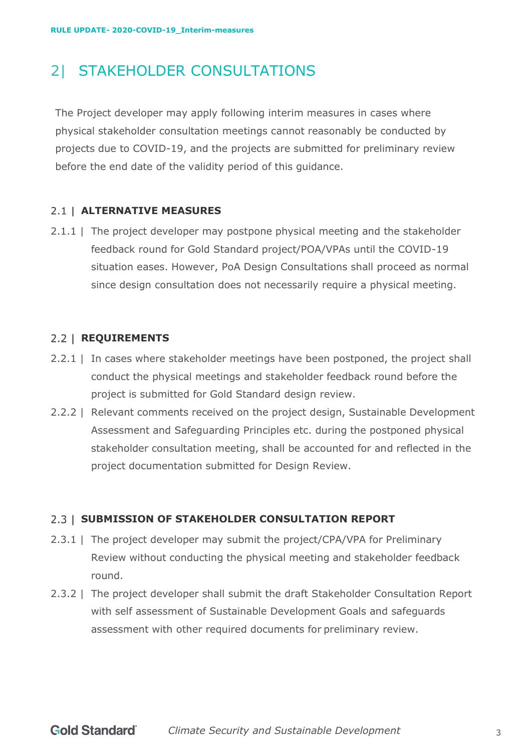### 2| STAKEHOLDER CONSULTATIONS

The Project developer may apply following interim measures in cases where physical stakeholder consultation meetings cannot reasonably be conducted by projects due to COVID-19, and the projects are submitted for preliminary review before the end date of the validity period of this guidance.

#### **ALTERNATIVE MEASURES**

2.1.1 | The project developer may postpone physical meeting and the stakeholder feedback round for Gold Standard project/POA/VPAs until the COVID-19 situation eases. However, PoA Design Consultations shall proceed as normal since design consultation does not necessarily require a physical meeting.

#### 2.2 | **REQUIREMENTS**

- 2.2.1 | In cases where stakeholder meetings have been postponed, the project shall conduct the physical meetings and stakeholder feedback round before the project is submitted for Gold Standard design review.
- 2.2.2 | Relevant comments received on the project design, Sustainable Development Assessment and Safeguarding Principles etc. during the postponed physical stakeholder consultation meeting, shall be accounted for and reflected in the project documentation submitted for Design Review.

#### 2.3 | SUBMISSION OF STAKEHOLDER CONSULTATION REPORT

- 2.3.1 | The project developer may submit the project/CPA/VPA for Preliminary Review without conducting the physical meeting and stakeholder feedback round.
- 2.3.2 | The project developer shall submit the draft Stakeholder Consultation Report with self assessment of Sustainable Development Goals and safeguards assessment with other required documents for preliminary review.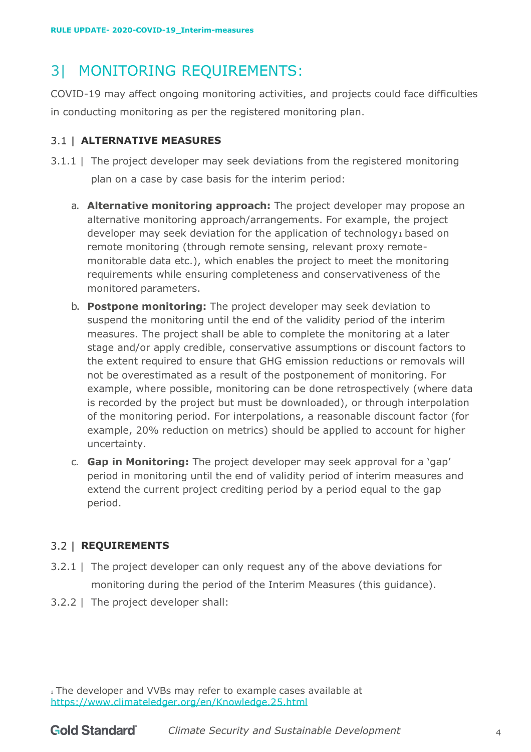# 3| MONITORING REQUIREMENTS:

COVID-19 may affect ongoing monitoring activities, and projects could face difficulties in conducting monitoring as per the registered monitoring plan.

#### **ALTERNATIVE MEASURES**

- <span id="page-3-0"></span>3.1.1 | The project developer may seek deviations from the registered monitoring plan on a case by case basis for the interim period:
	- a. **Alternative monitoring approach:** The project developer may propose an alternative monitoring approach/arrangements. For example, the project developer may seek deviation for the application of technology<sub>1</sub> based on remote monitoring (through remote sensing, relevant proxy remotemonitorable data etc.), which enables the project to meet the monitoring requirements while ensuring completeness and conservativeness of the monitored parameters.
	- b. **Postpone monitoring:** The project developer may seek deviation to suspend the monitoring until the end of the validity period of the interim measures. The project shall be able to complete the monitoring at a later stage and/or apply credible, conservative assumptions or discount factors to the extent required to ensure that GHG emission reductions or removals will not be overestimated as a result of the postponement of monitoring. For example, where possible, monitoring can be done retrospectively (where data is recorded by the project but must be downloaded), or through interpolation of the monitoring period. For interpolations, a reasonable discount factor (for example, 20% reduction on metrics) should be applied to account for higher uncertainty.
	- c. **Gap in Monitoring:** The project developer may seek approval for a 'gap' period in monitoring until the end of validity period of interim measures and extend the current project crediting period by a period equal to the gap period.

#### <span id="page-3-1"></span>**3.2 | REQUIREMENTS**

- 3.2.1 | The project developer can only request any of the above deviations for monitoring during the period of the Interim Measures (this guidance).
- 3.2.2 | The project developer shall:

<sup>&</sup>lt;sup>1</sup> The developer and VVBs may refer to example cases available at https://www.climateledger.org/en/Knowledge.25.html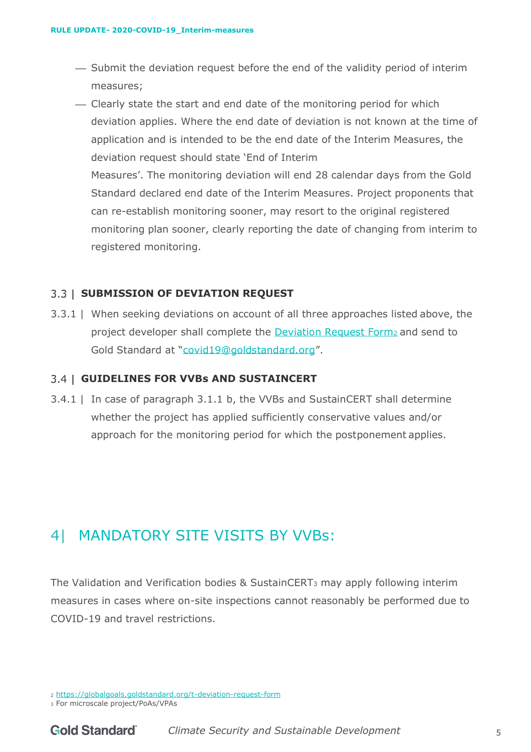- ⎯ Submit the deviation request before the end of the validity period of interim measures;
- ⎯ Clearly state the start and end date of the monitoring period for which deviation applies. Where the end date of deviation is not known at the time of application and is intended to be the end date of the Interim Measures, the deviation request should state 'End of Interim Measures'. The monitoring deviation will end 28 calendar days from the Gold Standard declared end date of the Interim Measures. Project proponents that can re-establish monitoring sooner, may resort to the original registered monitoring plan sooner, clearly reporting the date of changing from interim to registered monitoring.

#### **SUBMISSION OF DEVIATION REQUEST**

3.3.1 | When seeking deviations on account of all three approaches listed above, the project developer shall complete the [Deviation Request Form](https://globalgoals.goldstandard.org/deviation-request-form/)<sup>2</sup> and send to Gold Standard at ["covid19@goldstandard.org"](mailto:vvb@goldstandard.org).

#### **GUIDELINES FOR VVBs AND SUSTAINCERT**

3.4.1 | In case of paragraph [3.1.1](#page-3-0) [b,](#page-3-1) the VVBs and SustainCERT shall determine whether the project has applied sufficiently conservative values and/or approach for the monitoring period for which the postponement applies.

### 4| MANDATORY SITE VISITS BY VVBs:

The Validation and Verification bodies & SustainCERT<sup>3</sup> may apply following interim measures in cases where on-site inspections cannot reasonably be performed due to COVID-19 and travel restrictions.

<sup>2</sup> <https://globalgoals.goldstandard.org/t-deviation-request-form>

<sup>3</sup> For microscale project/PoAs/VPAs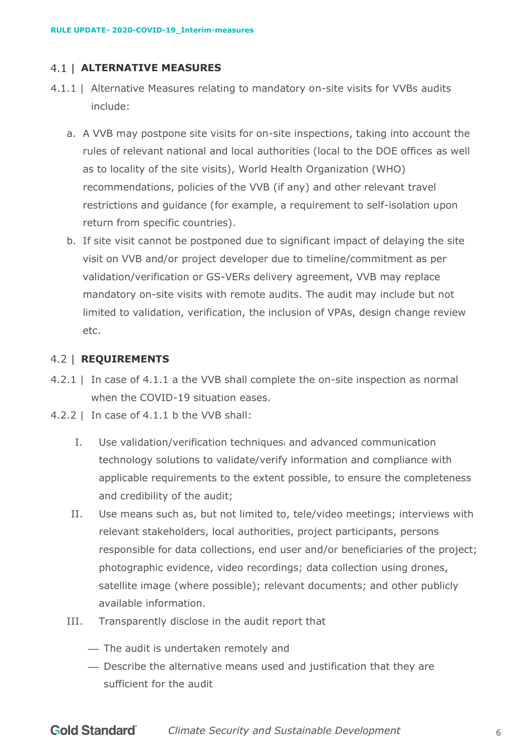#### **ALTERNATIVE MEASURES**

- <span id="page-5-1"></span><span id="page-5-0"></span>4.1.1 | Alternative Measures relating to mandatory on-site visits for VVBs audits include:
	- a. A VVB may postpone site visits for on-site inspections, taking into account the rules of relevant national and local authorities (local to the DOE offices as well as to locality of the site visits), World Health Organization (WHO) recommendations, policies of the VVB (if any) and other relevant travel restrictions and guidance (for example, a requirement to self-isolation upon return from specific countries).
	- b. If site visit cannot be postponed due to significant impact of delaying the site visit on VVB and/or project developer due to timeline/commitment as per validation/verification or GS-VERs delivery agreement, VVB may replace mandatory on-site visits with remote audits. The audit may include but not limited to validation, verification, the inclusion of VPAs, design change review etc.

#### <span id="page-5-2"></span>**REQUIREMENTS**

- 4.2.1 | In case of [4.1.1](#page-5-0) [a t](#page-5-1)he VVB shall complete the on-site inspection as normal when the COVID-19 situation eases.
- 4.2.2 | In case of [4.1.1](#page-5-0) [b t](#page-5-2)he VVB shall:
	- I. Use validation/verification techniques<sup>i</sup> and advanced communication technology solutions to validate/verify information and compliance with applicable requirements to the extent possible, to ensure the completeness and credibility of the audit;
	- II. Use means such as, but not limited to, tele/video meetings; interviews with relevant stakeholders, local authorities, project participants, persons responsible for data collections, end user and/or beneficiaries of the project; photographic evidence, video recordings; data collection using drones, satellite image (where possible); relevant documents; and other publicly available information.
	- III. Transparently disclose in the audit report that
		- ⎯ The audit is undertaken remotely and
		- ⎯ Describe the alternative means used and justification that they are sufficient for the audit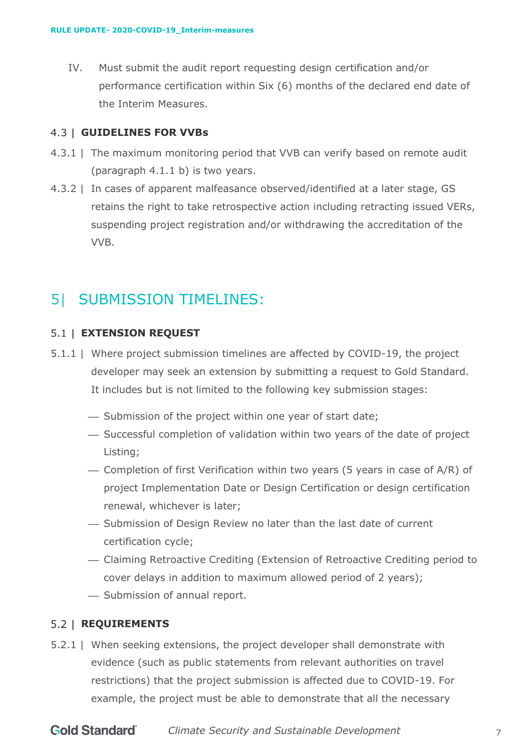IV. Must submit the audit report requesting design certification and/or performance certification within Six (6) months of the declared end date of the Interim Measures.

#### **GUIDELINES FOR VVBs**

- 4.3.1 | The maximum monitoring period that VVB can verify based on remote audit (paragraph [4.1.1](#page-5-0) [b\)](#page-5-2) is two years.
- 4.3.2 | In cases of apparent malfeasance observed/identified at a later stage, GS retains the right to take retrospective action including retracting issued VERs, suspending project registration and/or withdrawing the accreditation of the VVB.

### 5| SUBMISSION TIMELINES:

#### **EXTENSION REQUEST**

- 5.1.1 | Where project submission timelines are affected by COVID-19, the project developer may seek an extension by submitting a request to Gold Standard. It includes but is not limited to the following key submission stages:
	- ⎯ Submission of the project within one year of start date;
	- ⎯ Successful completion of validation within two years of the date of project Listing;
	- ⎯ Completion of first Verification within two years (5 years in case of A/R) of project Implementation Date or Design Certification or design certification renewal, whichever is later;
	- ⎯ Submission of Design Review no later than the last date of current certification cycle;
	- ⎯ Claiming Retroactive Crediting (Extension of Retroactive Crediting period to cover delays in addition to maximum allowed period of 2 years);
	- Submission of annual report.

#### **REQUIREMENTS**

5.2.1 | When seeking extensions, the project developer shall demonstrate with evidence (such as public statements from relevant authorities on travel restrictions) that the project submission is affected due to COVID-19. For example, the project must be able to demonstrate that all the necessary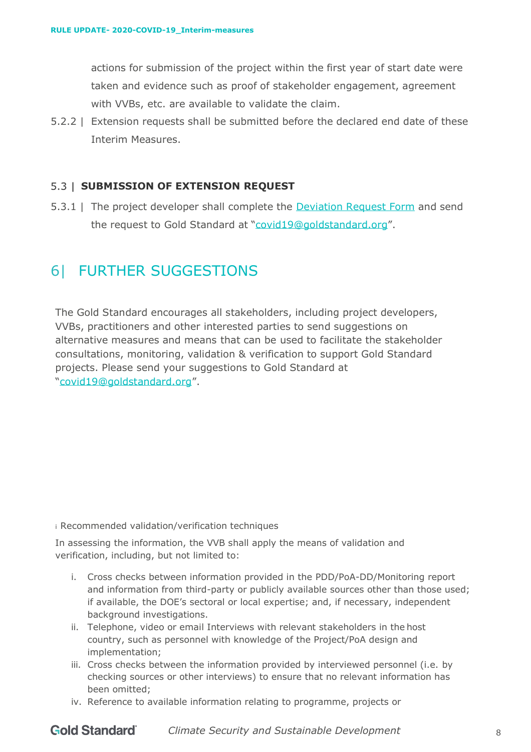actions for submission of the project within the first year of start date were taken and evidence such as proof of stakeholder engagement, agreement with VVBs, etc. are available to validate the claim.

5.2.2 | Extension requests shall be submitted before the declared end date of these Interim Measures.

#### **SUBMISSION OF EXTENSION REQUEST**

5.3.1 | The project developer shall complete the [Deviation Request Form](https://globalgoals.goldstandard.org/deviation-request-form/) and send the request to Gold Standard at ["covid19@goldstandard.org"](mailto:vvb@goldstandard.org).

### 6| FURTHER SUGGESTIONS

The Gold Standard encourages all stakeholders, including project developers, VVBs, practitioners and other interested parties to send suggestions on alternative measures and means that can be used to facilitate the stakeholder consultations, monitoring, validation & verification to support Gold Standard projects. Please send your suggestions to Gold Standard at ["covid19@goldstandard.org"](mailto:vvb@goldstandard.org).

i Recommended validation/verification techniques

In assessing the information, the VVB shall apply the means of validation and verification, including, but not limited to:

- i. Cross checks between information provided in the PDD/PoA-DD/Monitoring report and information from third-party or publicly available sources other than those used; if available, the DOE's sectoral or local expertise; and, if necessary, independent background investigations.
- ii. Telephone, video or email Interviews with relevant stakeholders in the host country, such as personnel with knowledge of the Project/PoA design and implementation;
- iii. Cross checks between the information provided by interviewed personnel (i.e. by checking sources or other interviews) to ensure that no relevant information has been omitted;
- iv. Reference to available information relating to programme, projects or